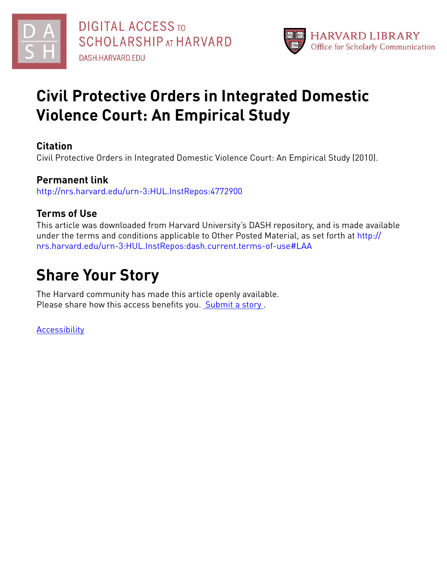



# **Civil Protective Orders in Integrated Domestic Violence Court: An Empirical Study**

# **Citation**

Civil Protective Orders in Integrated Domestic Violence Court: An Empirical Study (2010).

# **Permanent link**

<http://nrs.harvard.edu/urn-3:HUL.InstRepos:4772900>

# **Terms of Use**

This article was downloaded from Harvard University's DASH repository, and is made available under the terms and conditions applicable to Other Posted Material, as set forth at [http://](http://nrs.harvard.edu/urn-3:HUL.InstRepos:dash.current.terms-of-use#LAA) [nrs.harvard.edu/urn-3:HUL.InstRepos:dash.current.terms-of-use#LAA](http://nrs.harvard.edu/urn-3:HUL.InstRepos:dash.current.terms-of-use#LAA)

# **Share Your Story**

The Harvard community has made this article openly available. Please share how this access benefits you. [Submit](http://osc.hul.harvard.edu/dash/open-access-feedback?handle=&title=Civil%20Protective%20Orders%20in%20Integrated%20Domestic%20Violence%20Court:%20An%20Empirical%20Study&community=1/7&collection=1/2788313&owningCollection1/2788313&harvardAuthors=994880f040de76922f38a8fdcd58af64&department) a story.

**[Accessibility](https://dash.harvard.edu/pages/accessibility)**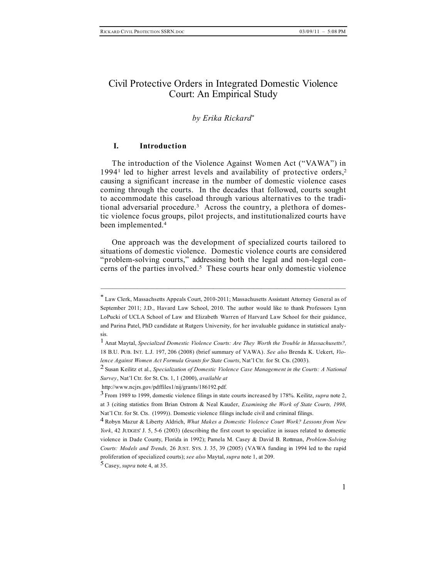## Civil Protective Orders in Integrated Domestic Violence Court: An Empirical Study

#### *by Erika Rickard\**

#### **I. Introduction**

The introduction of the Violence Against Women Act ("VAWA") in 1994<sup>1</sup> led to higher arrest levels and availability of protective orders,<sup>2</sup> causing a significant increase in the number of domestic violence cases coming through the courts. In the decades that followed, courts sought to accommodate this caseload through various alternatives to the traditional adversarial procedure. <sup>3</sup> Across the country, a plethora of domestic violence focus groups, pilot projects, and institutionalized courts have been implemented. 4

One approach was the development of specialized courts tailored to situations of domestic violence. Domestic violence courts are considered "problem-solving courts," addressing both the legal and non-legal concerns of the parties involved. <sup>5</sup> These courts hear only domestic violence

<sup>\*</sup> Law Clerk, Massachsetts Appeals Court, 2010-2011; Massachusetts Assistant Attorney General as of September 2011; J.D., Havard Law School, 2010. The author would like to thank Professors Lynn LoPucki of UCLA School of Law and Elizabeth Warren of Harvard Law School for their guidance, and Parina Patel, PhD candidate at Rutgers University, for her invaluable guidance in statistical analysis.

<sup>1</sup> Anat Maytal, *Specialized Domestic Violence Courts: Are They Worth the Trouble in Massachusetts?,* 18 B.U. PUB. INT. L.J. 197, 206 (2008) (brief summary of VAWA). *See also* Brenda K. Uekert, *Violence Against Women Act Formula Grants for State Courts*, Nat'l Ctr. for St. Cts. (2003).

<sup>2</sup> Susan Keilitz et al., *Specialization of Domestic Violence Case Management in the Courts: A National Survey*, Nat'l Ctr. for St. Cts. 1, 1 (2000), *available at*

http://www.ncjrs.gov/pdffiles1/nij/grants/186192.pdf*.*

<sup>3</sup> From <sup>1989</sup> to 1999, domestic violence filings in state courts increased by 178%. Keilitz, *supra* note 2, at 3 (citing statistics from Brian Ostrom & Neal Kauder, *Examining the Work of State Courts, 1998,* Nat'l Ctr. for St. Cts. (1999)). Domestic violence filings include civil and criminal filings.

<sup>4</sup> Robyn Mazur & Liberty Aldrich, *What Makes <sup>a</sup> Domestic Violence Court Work? Lessons from New York*, 42 JUDGES' J. 5, 5-6 (2003) (describing the first court to specialize in issues related to domestic violence in Dade County, Florida in 1992); Pamela M. Casey & David B. Rottman, *Problem-Solving Courts: Models and Trends,* 26 JUST. SYS. J. 35, 39 (2005) (VAWA funding in 1994 led to the rapid proliferation of specialized courts); *see also* Maytal, *supra* note 1, at 209.

<sup>5</sup>Casey, *supra* note 4, at 35.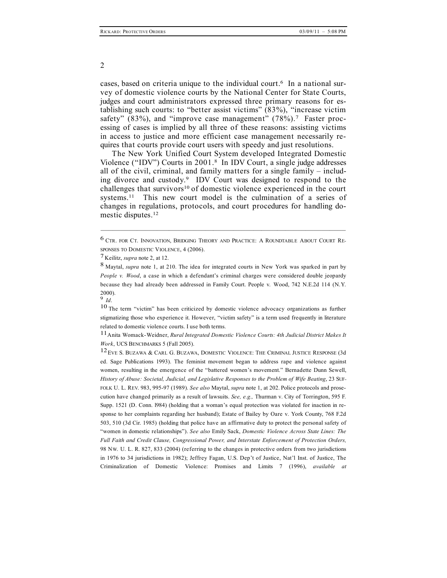cases, based on criteria unique to the individual court. <sup>6</sup> In a national survey of domestic violence courts by the National Center for State Courts, judges and court administrators expressed three primary reasons for establishing such courts: to "better assist victims" (83%), "increase victim safety" (83%), and "improve case management" (78%).<sup>7</sup> Faster processing of cases is implied by all three of these reasons: assisting victims in access to justice and more efficient case management necessarily requires that courts provide court users with speedy and just resolutions.

The New York Unified Court System developed Integrated Domestic Violence ("IDV") Courts in 2001.8 In IDV Court, a single judge addresses all of the civil, criminal, and family matters for a single family – including divorce and custody.9 IDV Court was designed to respond to the challenges that survivors<sup>10</sup> of domestic violence experienced in the court systems.<sup>11</sup> This new court model is the culmination of a series of changes in regulations, protocols, and court procedures for handling domestic disputes. 12

–––––––––––––––––––––––––––––––––––––––––––––––––––––––––––––

10 The term "victim" has been criticized by domestic violence advocacy organizations as further stigmatizing those who experience it. However, "victim safety" is a term used frequently in literature related to domestic violence courts. I use both terms.

11Anita Womack-Weidner, *Rural Integrated Domestic Violence Courts: 4th Judicial District Makes It Work*, UCS BENCHMARKS 5 (Fall 2005).

2

<sup>6</sup> CTR. FOR CT. INNOVATION, BRIDGING THEORY AND PRACTICE: <sup>A</sup> ROUNDTABLE ABOUT COURT RE-SPONSES TO DOMESTIC VIOLENCE, 4 (2006).

<sup>7</sup> Keilitz, *supra* note 2, at 12.

<sup>8</sup> Maytal, *supra* note 1, at 210. The idea for integrated courts in New York was sparked in part by *People v. Wood*, a case in which a defendant's criminal charges were considered double jeopardy because they had already been addressed in Family Court. People v. Wood, 742 N.E.2d 114 (N.Y. 2000). <sup>9</sup> *Id*.

<sup>12</sup>EVE S. BUZAWA & CARL G. BUZAWA, DOMESTIC VIOLENCE: THE CRIMINAL JUSTICE RESPONSE (3d ed. Sage Publications 1993). The feminist movement began to address rape and violence against women, resulting in the emergence of the "battered women's movement." Bernadette Dunn Sewell, *History of Abuse: Societal, Judicial, and Legislative Responses to the Problem of Wife Beating*, 23 SUF-FOLK U. L. REV. 983, 995-97 (1989). *See also* Maytal, *supra* note 1, at 202. Police protocols and prosecution have changed primarily as a result of lawsuits. *See, e.g.,* Thurman v. City of Torrington, 595 F. Supp. 1521 (D. Conn. l984) (holding that a woman's equal protection was violated for inaction in response to her complaints regarding her husband); Estate of Bailey by Oare v. York County, 768 F.2d 503, 510 (3d Cir. 1985) (holding that police have an affirmative duty to protect the personal safety of "women in domestic relationships"). *See also* Emily Sack, *Domestic Violence Across State Lines: The Full Faith and Credit Clause, Congressional Power, and Interstate Enforcement of Protection Orders,* 98 NW. U. L. R. 827, 833 (2004) (referring to the changes in protective orders from two jurisdictions in 1976 to 34 jurisdictions in 1982); Jeffrey Fagan, U.S. Dep't of Justice, Nat'l Inst. of Justice, The Criminalization of Domestic Violence: Promises and Limits 7 (1996), *available at*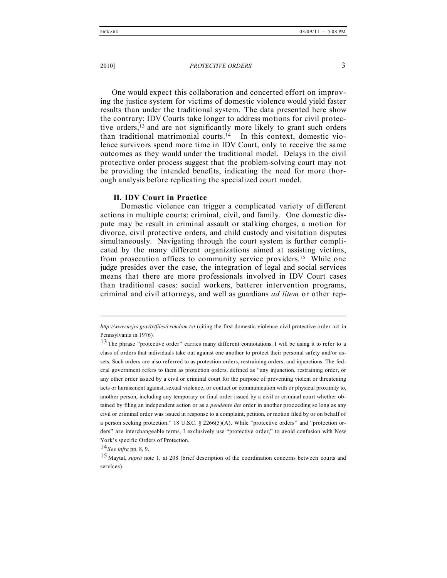One would expect this collaboration and concerted effort on improving the justice system for victims of domestic violence would yield faster results than under the traditional system. The data presented here show the contrary: IDV Courts take longer to address motions for civil protective orders, <sup>13</sup> and are not significantly more likely to grant such orders than traditional matrimonial courts. <sup>14</sup> In this context, domestic violence survivors spend more time in IDV Court, only to receive the same outcomes as they would under the traditional model. Delays in the civil protective order process suggest that the problem-solving court may not be providing the intended benefits, indicating the need for more thorough analysis before replicating the specialized court model.

#### **II. IDV Court in Practice**

Domestic violence can trigger a complicated variety of different actions in multiple courts: criminal, civil, and family. One domestic dispute may be result in criminal assault or stalking charges, a motion for divorce, civil protective orders, and child custody and visitation disputes simultaneously. Navigating through the court system is further complicated by the many different organizations aimed at assisting victims, from prosecution offices to community service providers.<sup>15</sup> While one judge presides over the case, the integration of legal and social services means that there are more professionals involved in IDV Court cases than traditional cases: social workers, batterer intervention programs, criminal and civil attorneys, and well as guardians *ad litem* or other rep-

*http://www.ncjrs.gov/txtfiles/crimdom.txt* (citing the first domestic violence civil protective order act in Pennsylvania in 1976)*.*

<sup>&</sup>lt;sup>13</sup>The phrase "protective order" carries many different connotations. I will be using it to refer to a class of orders that individuals take out against one another to protect their personal safety and/or assets. Such orders are also referred to as protection orders, restraining orders, and injunctions. The federal government refers to them as protection orders, defined as "any injunction, restraining order, or any other order issued by a civil or criminal court for the purpose of preventing violent or threatening acts or harassment against, sexual violence, or contact or communication with or physical proximity to, another person, including any temporary or final order issued by a civil or criminal court whether obtained by filing an independent action or as a *pendente lite* order in another proceeding so long as any civil or criminal order was issued in response to a complaint, petition, or motion filed by or on behalf of a person seeking protection." 18 U.S.C. § 2266(5)(A). While "protective orders" and "protection orders" are interchangeable terms, I exclusively use "protective order," to avoid confusion with New York's specific Orders of Protection.

<sup>14</sup>*See infra* pp. 8, 9.

<sup>15</sup> Maytal, *supra* note 1, at <sup>208</sup> (brief description of the coordination concerns between courts and services).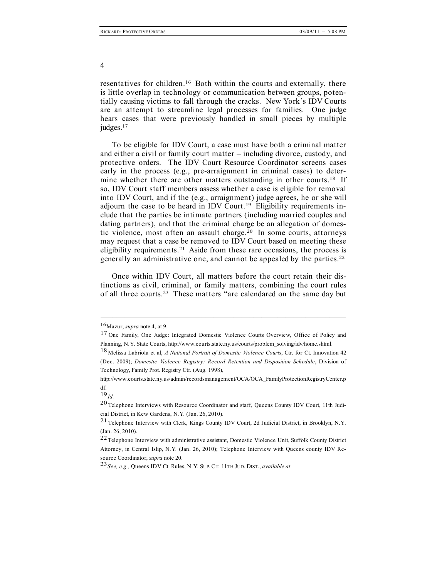resentatives for children.16 Both within the courts and externally, there is little overlap in technology or communication between groups, potentially causing victims to fall through the cracks. New York's IDV Courts are an attempt to streamline legal processes for families. One judge hears cases that were previously handled in small pieces by multiple judges. 17

To be eligible for IDV Court, a case must have both a criminal matter and either a civil or family court matter – including divorce, custody, and protective orders. The IDV Court Resource Coordinator screens cases early in the process (e.g., pre-arraignment in criminal cases) to determine whether there are other matters outstanding in other courts.<sup>18</sup> If so, IDV Court staff members assess whether a case is eligible for removal into IDV Court, and if the (e.g., arraignment) judge agrees, he or she will adjourn the case to be heard in IDV Court. <sup>19</sup> Eligibility requirements include that the parties be intimate partners (including married couples and dating partners), and that the criminal charge be an allegation of domestic violence, most often an assault charge. <sup>20</sup> In some courts, attorneys may request that a case be removed to IDV Court based on meeting these eligibility requirements. <sup>21</sup> Aside from these rare occasions, the process is generally an administrative one, and cannot be appealed by the parties. 22

Once within IDV Court, all matters before the court retain their distinctions as civil, criminal, or family matters, combining the court rules of all three courts. <sup>23</sup> These matters "are calendared on the same day but

–––––––––––––––––––––––––––––––––––––––––––––––––––––––––––––

4

<sup>16</sup>Mazur, *supra* note 4, at 9.

<sup>17</sup> One Family, One Judge: Integrated Domestic Violence Courts Overview, Office of Policy and Planning, N.Y. State Courts, http://www.courts.state.ny.us/courts/problem\_solving/idv/home.shtml.

<sup>18</sup> Melissa Labriola et al, *<sup>A</sup> National Portrait of Domestic Violence Courts*, Ctr. for Ct. Innovation <sup>42</sup> (Dec. 2009); *Domestic Violence Registry: Record Retention and Disposition Schedule*, Division of Technology, Family Prot. Registry Ctr. (Aug. 1998),

http://www.courts.state.ny.us/admin/recordsmanagement/OCA/OCA\_FamilyProtectionRegistryCenter.p df.

<sup>19</sup>*Id.*

<sup>20</sup> Telephone Interviews with Resource Coordinator and staff, Queens County IDV Court, 11th Judicial District, in Kew Gardens, N.Y. (Jan. 26, 2010).

<sup>21</sup> Telephone Interview with Clerk, Kings County IDV Court, 2d Judicial District, in Brooklyn, N.Y. (Jan. 26, 2010).

<sup>22</sup>Telephone Interview with administrative assistant, Domestic Violence Unit, Suffolk County District Attorney, in Central Islip, N.Y. (Jan. 26, 2010); Telephone Interview with Queens county IDV Resource Coordinator, *supra* note 20.

<sup>23</sup>*See, e.g.,* Queens IDV Ct. Rules, N.Y. SUP. CT. 11TH JUD. DIST., *available at*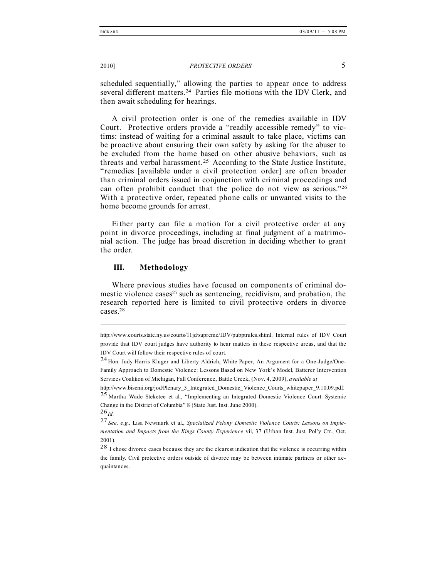scheduled sequentially," allowing the parties to appear once to address several different matters.24 Parties file motions with the IDV Clerk, and then await scheduling for hearings.

A civil protection order is one of the remedies available in IDV Court. Protective orders provide a "readily accessible remedy" to victims: instead of waiting for a criminal assault to take place, victims can be proactive about ensuring their own safety by asking for the abuser to be excluded from the home based on other abusive behaviors, such as threats and verbal harassment.25 According to the State Justice Institute, "remedies [available under a civil protection order] are often broader than criminal orders issued in conjunction with criminal proceedings and can often prohibit conduct that the police do not view as serious."26 With a protective order, repeated phone calls or unwanted visits to the home become grounds for arrest.

Either party can file a motion for a civil protective order at any point in divorce proceedings, including at final judgment of a matrimonial action. The judge has broad discretion in deciding whether to grant the order.

#### **III. Methodology**

Where previous studies have focused on components of criminal domestic violence cases<sup>27</sup> such as sentencing, recidivism, and probation, the research reported here is limited to civil protective orders in divorce cases. 28

http://www.courts.state.ny.us/courts/11jd/supreme/IDV/pubptrules.shtml. Internal rules of IDV Court provide that IDV court judges have authority to hear matters in these respective areas, and that the IDV Court will follow their respective rules of court.

<sup>24</sup> Hon. Judy Harris Kluger and Liberty Aldrich, White Paper, An Argument for <sup>a</sup> One-Judge/One-Family Approach to Domestic Violence: Lessons Based on New York's Model, Batterer Intervention Services Coalition of Michigan, Fall Conference, Battle Creek, (Nov. 4, 2009), *available at*

http://www.biscmi.org/jod/Plenary\_3\_Integrated\_Domestic\_Violence\_Courts\_whitepaper\_9.10.09.pdf. 25 Martha Wade Steketee et al., "Implementing an Integrated Domestic Violence Court: Systemic Change in the District of Columbia" 8 (State Just. Inst. June 2000).

<sup>26</sup>*Id.*

<sup>27</sup> *See, e.g.,* Lisa Newmark et al., *Specialized Felony Domestic Violence Courts: Lessons on Implementation and Impacts from the Kings County Experience* vii, 37 (Urban Inst. Just. Pol'y Ctr., Oct. 2001).

<sup>28</sup> I chose divorce cases because they are the clearest indication that the violence is occurring within the family. Civil protective orders outside of divorce may be between intimate partners or other acquaintances.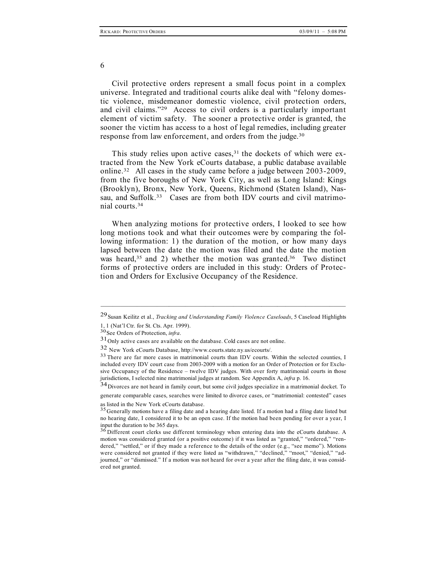Civil protective orders represent a small focus point in a complex universe. Integrated and traditional courts alike deal with "felony domestic violence, misdemeanor domestic violence, civil protection orders, and civil claims."29 Access to civil orders is a particularly important element of victim safety. The sooner a protective order is granted, the sooner the victim has access to a host of legal remedies, including greater response from law enforcement, and orders from the judge.30

This study relies upon active cases,<sup>31</sup> the dockets of which were extracted from the New York eCourts database, a public database available online.32 All cases in the study came before a judge between 2003-2009, from the five boroughs of New York City, as well as Long Island: Kings (Brooklyn), Bronx, New York, Queens, Richmond (Staten Island), Nassau, and Suffolk.<sup>33</sup> Cases are from both IDV courts and civil matrimonial courts. 34

When analyzing motions for protective orders, I looked to see how long motions took and what their outcomes were by comparing the following information: 1) the duration of the motion, or how many days lapsed between the date the motion was filed and the date the motion was heard,<sup>35</sup> and 2) whether the motion was granted.<sup>36</sup> Two distinct forms of protective orders are included in this study: Orders of Protection and Orders for Exclusive Occupancy of the Residence.

generate comparable cases, searches were limited to divorce cases, or "matrimonial: contested" cases as listed in the New York eCourts database.<br> $35$  Generally motions have a filing date and a hearing date listed. If a motion had a filing date listed but

6

<sup>–––––––––––––––––––––––––––––––––––––––––––––––––––––––––––––</sup> 29Susan Keilitz et al., *Tracking and Understanding Family Violence Caseloads*, <sup>5</sup> Caseload Highlights

<sup>1,</sup> <sup>1</sup> (Nat'l Ctr. for St. Cts. Apr. 1999). 30See Orders of Protection, *infra*.

<sup>31</sup>Only active cases are available on the database. Cold cases are not online.

 $32$  New York eCourts Database, http://www.courts.state.ny.us/ecourts/.<br> $33$  There are far more cases in matrimonial courts than IDV courts. Within the selected counties, I included every IDV court case from 2003-2009 with a motion for an Order of Protection or for Exclusive Occupancy of the Residence – twelve IDV judges. With over forty matrimonial courts in those jurisdictions, I selected nine matrimonial judges at random. See Appendix A, *infra* p. 16.

<sup>34</sup>Divorces are not heard in family court, but some civil judges specialize in <sup>a</sup> matrimonial docket. To

no hearing date, I considered it to be an open case. If the motion had been pending for over a year, I input the duration to be 365 days.<br> $36$  Different court clerks use different terminology when entering data into the eCourts database. A

motion was considered granted (or a positive outcome) if it was listed as "granted," "ordered," "rendered," "settled," or if they made a reference to the details of the order (e.g., "see memo"). Motions were considered not granted if they were listed as "withdrawn," "declined," "moot," "denied," "adjourned," or "dismissed." If a motion was not heard for over a year after the filing date, it was considered not granted.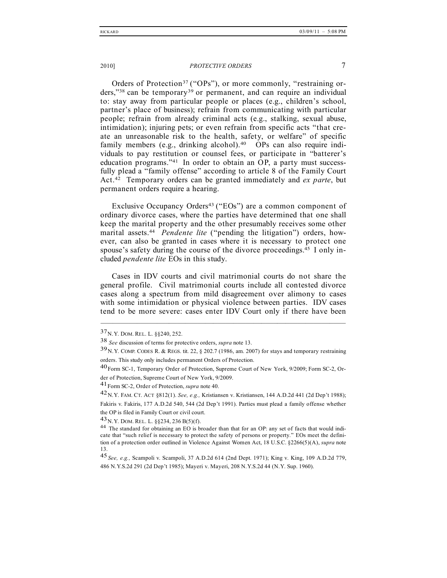Orders of Protection<sup>37</sup> ("OPs"), or more commonly, "restraining orders,"<sup>38</sup> can be temporary<sup>39</sup> or permanent, and can require an individual to: stay away from particular people or places (e.g., children's school, partner's place of business); refrain from communicating with particular people; refrain from already criminal acts (e.g., stalking, sexual abuse, intimidation); injuring pets; or even refrain from specific acts "that create an unreasonable risk to the health, safety, or welfare" of specific family members (e.g., drinking alcohol).<sup>40</sup> OPs can also require individuals to pay restitution or counsel fees, or participate in "batterer's education programs." $41$  In order to obtain an OP, a party must successfully plead a "family offense" according to article 8 of the Family Court Act.42 Temporary orders can be granted immediately and *ex parte*, but permanent orders require a hearing.

Exclusive Occupancy Orders<sup>43</sup> ("EOs") are a common component of ordinary divorce cases, where the parties have determined that one shall keep the marital property and the other presumably receives some other marital assets. <sup>44</sup> *Pendente lite* ("pending the litigation") orders, however, can also be granted in cases where it is necessary to protect one spouse's safety during the course of the divorce proceedings.<sup>45</sup> I only included *pendente lite* EOs in this study.

Cases in IDV courts and civil matrimonial courts do not share the general profile. Civil matrimonial courts include all contested divorce cases along a spectrum from mild disagreement over alimony to cases with some intimidation or physical violence between parties. IDV cases tend to be more severe: cases enter IDV Court only if there have been

–––––––––––––––––––––––––––––––––––––––––––––––––––––––––––––

the OP is filed in Family Court or civil court.

<sup>37</sup>N.Y. DOM. REL. L. §§240, 252.

<sup>38</sup> *See* discussion of terms for protective orders, *supra* note 13.

 $39N$  Y. COMP. CODES R. & REGS. tit. 22, 8 202.7 (1986, am. 2007) for stays and temporary restraining orders. This study only includes permanent Orders of Protection.

<sup>40</sup>Form SC-1, Temporary Order of Protection, Supreme Court of New York, 9/2009; Form SC-2, Order of Protection, Supreme Court of New York, 9/2009.

<sup>41</sup>Form SC-2, Order of Protection, *supra* note 40.

<sup>42</sup>N.Y. FAM. CT. ACT §812(1). *See, e.g.,* Kristiansen v. Kristiansen, <sup>144</sup> A.D.2d <sup>441</sup> (2d Dep't 1988); Fakiris v. Fakiris, 177 A.D.2d 540, 544 (2d Dep't 1991). Parties must plead a family offense whether

<sup>43</sup> N.Y. DOM. REL. L. §§234, 236 B(5)(f).<br><sup>44</sup> The standard for obtaining an EO is broader than that for an OP: any set of facts that would indicate that "such relief is necessary to protect the safety of persons or property." EOs meet the definition of a protection order outlined in Violence Against Women Act, 18 U.S.C. §2266(5)(A), *supra* note 13.

<sup>45</sup> *See, e.g.,* Scampoli v. Scampoli, <sup>37</sup> A.D.2d <sup>614</sup> (2nd Dept. 1971); King v. King, <sup>109</sup> A.D.2d 779, 486 N.Y.S.2d 291 (2d Dep't 1985); Mayeri v. Mayeri, 208 N.Y.S.2d 44 (N.Y. Sup. 1960).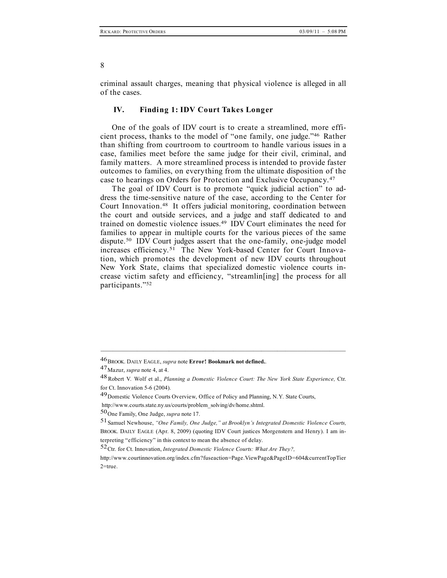criminal assault charges, meaning that physical violence is alleged in all of the cases.

#### **IV. Finding 1: IDV Court Takes Longer**

One of the goals of IDV court is to create a streamlined, more efficient process, thanks to the model of "one family, one judge."46 Rather than shifting from courtroom to courtroom to handle various issues in a case, families meet before the same judge for their civil, criminal, and family matters. A more streamlined process is intended to provide faster outcomes to families, on everything from the ultimate disposition of the case to hearings on Orders for Protection and Exclusive Occupancy.47

The goal of IDV Court is to promote "quick judicial action" to address the time-sensitive nature of the case, according to the Center for Court Innovation. <sup>48</sup> It offers judicial monitoring, coordination between the court and outside services, and a judge and staff dedicated to and trained on domestic violence issues. <sup>49</sup> IDV Court eliminates the need for families to appear in multiple courts for the various pieces of the same dispute. <sup>50</sup> IDV Court judges assert that the one-family, one-judge model increases efficiency.51 The New York-based Center for Court Innovation, which promotes the development of new IDV courts throughout New York State, claims that specialized domestic violence courts increase victim safety and efficiency, "streamlin[ing] the process for all participants."52

<sup>46</sup>BROOK. DAILY EAGLE, *supra* note **Error! Bookmark not defined.**.

<sup>47</sup>Mazur, *supra* note 4, at 4.

<sup>48</sup>Robert V. Wolf et al., *Planning <sup>a</sup> Domestic Violence Court: The New York State Experience,* Ctr. for Ct. Innovation 5-6 (2004).

<sup>49</sup>Domestic Violence Courts Overview, Office of Policy and Planning, N.Y. State Courts,

http://www.courts.state.ny.us/courts/problem\_solving/dv/home.shtml.

<sup>50</sup>One Family, One Judge, *supra* note 17.

<sup>51</sup>Samuel Newhouse, *"One Family, One Judge," at Brooklyn's Integrated Domestic Violence Courts,* BROOK. DAILY EAGLE (Apr. 8, 2009) (quoting IDV Court justices Morgenstern and Henry). I am interpreting "efficiency" in this context to mean the absence of delay.

<sup>52</sup>Ctr. for Ct. Innovation, *Integrated Domestic Violence Courts: What Are They?,*

http://www.courtinnovation.org/index.cfm?fuseaction=Page.ViewPage&PageID=604&currentTopTier 2=true.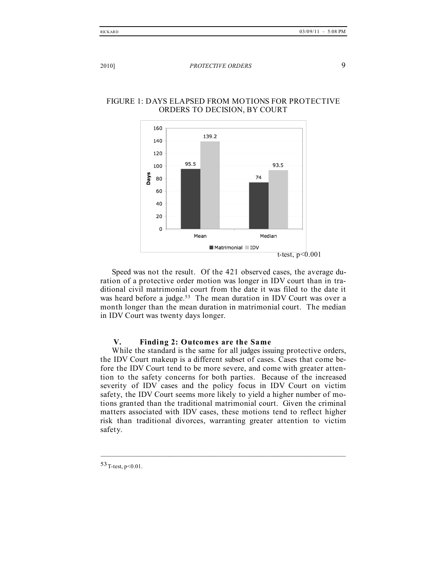t-test,  $p < 0.001$ 

#### 2010] *PROTECTIVE ORDERS* 9



FIGURE 1: DAYS ELAPSED FROM MOTIONS FOR PROTECTIVE ORDERS TO DECISION, BY COURT

Speed was not the result. Of the 421 observed cases, the average duration of a protective order motion was longer in IDV court than in traditional civil matrimonial court from the date it was filed to the date it was heard before a judge.<sup>53</sup> The mean duration in IDV Court was over a month longer than the mean duration in matrimonial court. The median in IDV Court was twenty days longer.

Matrimonial DV

#### **V. Finding 2: Outcomes are the Same**

While the standard is the same for all judges issuing protective orders, the IDV Court makeup is a different subset of cases. Cases that come before the IDV Court tend to be more severe, and come with greater attention to the safety concerns for both parties. Because of the increased severity of IDV cases and the policy focus in IDV Court on victim safety, the IDV Court seems more likely to yield a higher number of motions granted than the traditional matrimonial court. Given the criminal matters associated with IDV cases, these motions tend to reflect higher risk than traditional divorces, warranting greater attention to victim safety.

–––––––––––––––––––––––––––––––––––––––––––––––––––––––––––––

 $53$  T-test, p<0.01.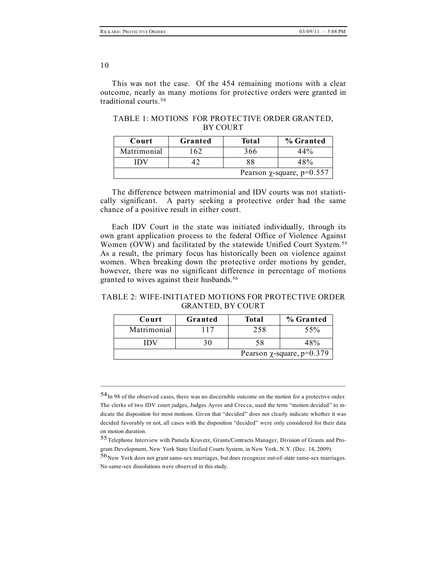This was not the case. Of the 454 remaining motions with a clear outcome, nearly as many motions for protective orders were granted in traditional courts.54

| Court                           | Granted | <b>Total</b> | % Granted |
|---------------------------------|---------|--------------|-----------|
| Matrimonial                     | 62      | 366          | 44%       |
|                                 |         | 88           | 48%       |
| Pearson $\chi$ -square, p=0.557 |         |              |           |

TABLE 1: MOTIONS FOR PROTECTIVE ORDER GRANTED, BY COURT

The difference between matrimonial and IDV courts was not statistically significant. A party seeking a protective order had the same chance of a positive result in either court.

Each IDV Court in the state was initiated individually, through its own grant application process to the federal Office of Violence Against Women (OVW) and facilitated by the statewide Unified Court System.55 As a result, the primary focus has historically been on violence against women. When breaking down the protective order motions by gender, however, there was no significant difference in percentage of motions granted to wives against their husbands. 56

TABLE 2: WIFE-INITIATED MOTIONS FOR PROTECTIVE ORDER GRANTED, BY COURT

| Court                           | Granted | Total | % Granted |
|---------------------------------|---------|-------|-----------|
| Matrimonial                     | 117     | 258   | 55%       |
| IDV                             |         | 58    | 48%       |
| Pearson $\chi$ -square, p=0.379 |         |       |           |

<sup>54</sup>In <sup>98</sup> of the observed cases, there was no discernible outcome on the motion for a protective order. The clerks of two IDV court judges, Judges Ayres and Crecca, used the term "motion decided" to indicate the disposition for most motions. Given that "decided" does not clearly indicate whether it was decided favorably or not, all cases with the disposition "decided" were only considered for their data on motion duration.

<sup>55</sup>Telephone Interview with Pamela Kravetz, Grants/Contracts Manager, Division of Grants and Program Development, New York State Unified Courts System, in New York, N.Y. (Dec. 14, 2009).

<sup>56</sup>New York does not grant same-sex marriages, but does recognize out-of-state same-sex marriages. No same-sex dissolutions were observed in this study.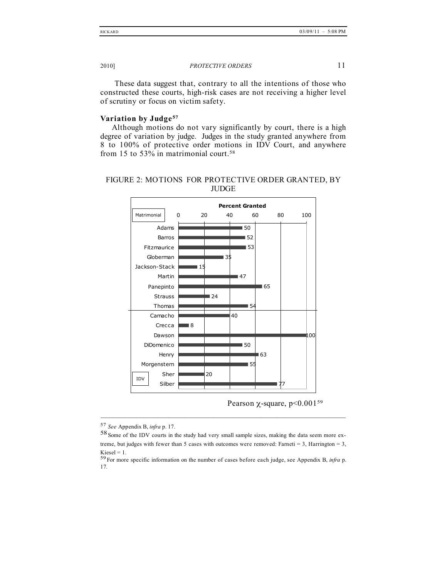These data suggest that, contrary to all the intentions of those who constructed these courts, high-risk cases are not receiving a higher level of scrutiny or focus on victim safety.

#### **Variation by Judge <sup>57</sup>**

Although motions do not vary significantly by court, there is a high degree of variation by judge. Judges in the study granted anywhere from 8 to 100% of protective order motions in IDV Court, and anywhere from 15 to 53% in matrimonial court.<sup>58</sup>





Pearson  $\chi$ -square, p<0.001<sup>59</sup>

<sup>57</sup> *See* Appendix B, *infra* p. 17.

<sup>58</sup>Some of the IDV courts in the study had very small sample sizes, making the data seem more extreme, but judges with fewer than 5 cases with outcomes were removed: Farneti = 3, Harrington = 3, Kiesel = 1.<br><sup>59</sup> For more specific information on the number of cases before each judge, see Appendix B, *infra* p.

<sup>17</sup>*.*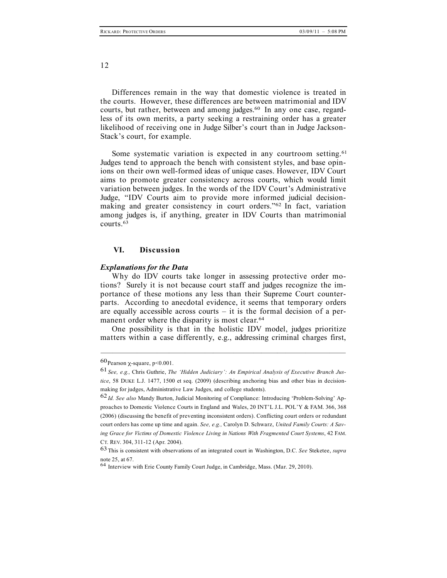Differences remain in the way that domestic violence is treated in the courts. However, these differences are between matrimonial and IDV courts, but rather, between and among judges. <sup>60</sup> In any one case, regardless of its own merits, a party seeking a restraining order has a greater likelihood of receiving one in Judge Silber's court than in Judge Jackson-Stack's court, for example.

Some systematic variation is expected in any courtroom setting.<sup>61</sup> Judges tend to approach the bench with consistent styles, and base opinions on their own well-formed ideas of unique cases. However, IDV Court aims to promote greater consistency across courts, which would limit variation between judges. In the words of the IDV Court's Administrative Judge, "IDV Courts aim to provide more informed judicial decisionmaking and greater consistency in court orders."62 In fact, variation among judges is, if anything, greater in IDV Courts than matrimonial courts. 63

#### **VI. Discussion**

#### *Explanations for the Data*

Why do IDV courts take longer in assessing protective order motions? Surely it is not because court staff and judges recognize the importance of these motions any less than their Supreme Court counterparts. According to anecdotal evidence, it seems that temporary orders are equally accessible across courts  $-$  it is the formal decision of a permanent order where the disparity is most clear. 64

One possibility is that in the holistic IDV model, judges prioritize matters within a case differently, e.g., addressing criminal charges first,

 $60$  Pearson  $\gamma$ -square, p<0.001.

<sup>61</sup> *See, e.g.,* Chris Guthrie, *The 'Hidden Judiciary': An Empirical Analysis of Executive Branch Justice*, 58 DUKE L.J. 1477, 1500 et seq. (2009) (describing anchoring bias and other bias in decisionmaking for judges, Administrative Law Judges, and college students).

<sup>62</sup>*Id. See also* Mandy Burton, Judicial Monitoring of Compliance: Introducing 'Problem-Solving' Approaches to Domestic Violence Courts in England and Wales, 20 INT'L J.L. POL'Y & FAM. 366, 368 (2006) (discussing the benefit of preventing inconsistent orders). Conflicting court orders or redundant court orders has come up time and again. *See, e.g.,* Carolyn D. Schwarz, *United Family Courts: A Saving Grace for Victims of Domestic Violence Living in Nations With Fragmented Court Systems*, 42 FAM. CT. REV. 304, 311-12 (Apr. 2004).

<sup>63</sup>This is consistent with observations of an integrated court in Washington, D.C. *See* Steketee, *supra* note 25, at 67.<br><sup>64</sup> Interview with Erie County Family Court Judge, in Cambridge, Mass. (Mar. 29, 2010).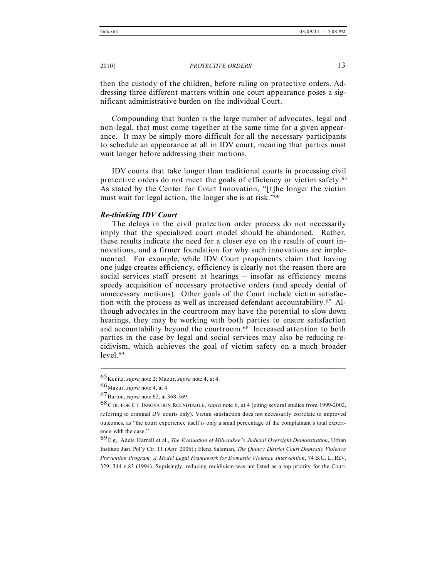then the custody of the children, before ruling on protective orders. Addressing three different matters within one court appearance poses a significant administrative burden on the individual Court.

Compounding that burden is the large number of advocates, legal and non-legal, that must come together at the same time for a given appearance. It may be simply more difficult for all the necessary participants to schedule an appearance at all in IDV court, meaning that parties must wait longer before addressing their motions.

IDV courts that take longer than traditional courts in processing civil protective orders do not meet the goals of efficiency or victim safety.65 As stated by the Center for Court Innovation, "[t]he longer the victim must wait for legal action, the longer she is at risk."<sup>66</sup>

#### *Re-thinking IDV Court*

The delays in the civil protection order process do not necessarily imply that the specialized court model should be abandoned. Rather, these results indicate the need for a closer eye on the results of court innovations, and a firmer foundation for why such innovations are implemented. For example, while IDV Court proponents claim that having one judge creates efficiency, efficiency is clearly not the reason there are social services staff present at hearings – insofar as efficiency means speedy acquisition of necessary protective orders (and speedy denial of unnecessary motions). Other goals of the Court include victim satisfaction with the process as well as increased defendant accountability.67 Although advocates in the courtroom may have the potential to slow down hearings, they may be working with both parties to ensure satisfaction and accountability beyond the courtroom. <sup>68</sup> Increased attention to both parties in the case by legal and social services may also be reducing recidivism, which achieves the goal of victim safety on a much broader level. 69

<sup>65</sup>Keilitz, *supra* note 2; Mazur, *supra* note 4, at 4.

<sup>66</sup>Mazur, *supra* note 4, at 4.

<sup>67</sup>Burton, *supra* note 62, at 368-369.

<sup>68</sup>CTR. FOR CT. INNOVATION ROUNDTABLE, *supra* note 6, at <sup>4</sup> (citing several studies from 1999-2002, referring to criminal DV courts only). Victim satisfaction does not necessarily correlate to improved outcomes, as "the court experience itself is only a small percentage of the complainant's total experience with the case."

<sup>69</sup>E.g., Adele Harrell et al., *The Evaluation of Milwaukee's Judicial Oversight Demonstration*, Urban Institute Just. Pol'y Ctr. 11 (Apr. 2006).; Elena Salzman, *The Quincy District Court Domestic Violence Prevention Program: A Model Legal Framework for Domestic Violence Intervention*, 74 B.U. L. REV. 329, 344 n.83 (1994). Suprisingly, reducing recidivism was not listed as a top priority for the Court.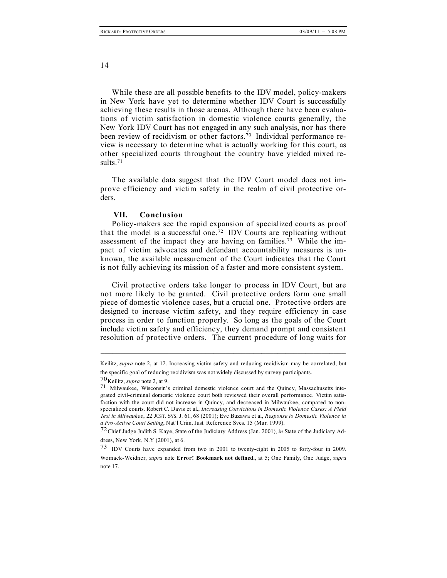While these are all possible benefits to the IDV model, policy-makers in New York have yet to determine whether IDV Court is successfully achieving these results in those arenas. Although there have been evaluations of victim satisfaction in domestic violence courts generally, the New York IDV Court has not engaged in any such analysis, nor has there been review of recidivism or other factors. <sup>70</sup> Individual performance review is necessary to determine what is actually working for this court, as other specialized courts throughout the country have yielded mixed results. 71

The available data suggest that the IDV Court model does not improve efficiency and victim safety in the realm of civil protective orders.

#### **VII. Conclusion**

Policy-makers see the rapid expansion of specialized courts as proof that the model is a successful one. <sup>72</sup> IDV Courts are replicating without assessment of the impact they are having on families.<sup>73</sup> While the impact of victim advocates and defendant accountability measures is unknown, the available measurement of the Court indicates that the Court is not fully achieving its mission of a faster and more consistent system.

Civil protective orders take longer to process in IDV Court, but are not more likely to be granted. Civil protective orders form one small piece of domestic violence cases, but a crucial one. Protective orders are designed to increase victim safety, and they require efficiency in case process in order to function properly. So long as the goals of the Court include victim safety and efficiency, they demand prompt and consistent resolution of protective orders. The current procedure of long waits for

Keilitz, *supra* note 2, at 12. Increasing victim safety and reducing recidivism may be correlated, but the specific goal of reducing recidivism was not widely discussed by survey participants.

<sup>70</sup>Keilitz, *supra* note 2, at 9. <sup>71</sup> Milwaukee, Wisconsin's criminal domestic violence court and the Quincy, Massachusetts integrated civil-criminal domestic violence court both reviewed their overall performance. Victim satisfaction with the court did not increase in Quincy, and decreased in Milwaukee, compared to nonspecialized courts. Robert C. Davis et al., *Increasing Convictions in Domestic Violence Cases: A Field Test in Milwaukee*, 22 JUST. SYS. J. 61, 68 (2001); Eve Buzawa et al, *Response to Domestic Violence in a Pro-Active Court Setting*, Nat'l Crim. Just. Reference Svcs. 15 (Mar. 1999).

<sup>72</sup>Chief Judge Judith S. Kaye, State of the Judiciary Address (Jan. 2001), *in* State of the Judiciary Address, New York, N.Y (2001), at 6.

<sup>73</sup> IDV Courts have expanded from two in <sup>2001</sup> to twenty-eight in <sup>2005</sup> to forty-four in 2009. Womack-Weidner, *supra* note **Error! Bookmark not defined.**, at 5; One Family, One Judge, *supra* note 17.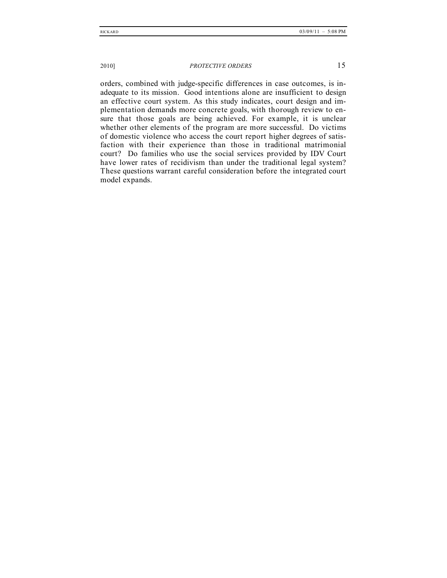orders, combined with judge-specific differences in case outcomes, is inadequate to its mission. Good intentions alone are insufficient to design an effective court system. As this study indicates, court design and implementation demands more concrete goals, with thorough review to ensure that those goals are being achieved. For example, it is unclear whether other elements of the program are more successful. Do victims of domestic violence who access the court report higher degrees of satisfaction with their experience than those in traditional matrimonial court? Do families who use the social services provided by IDV Court have lower rates of recidivism than under the traditional legal system? These questions warrant careful consideration before the integrated court model expands.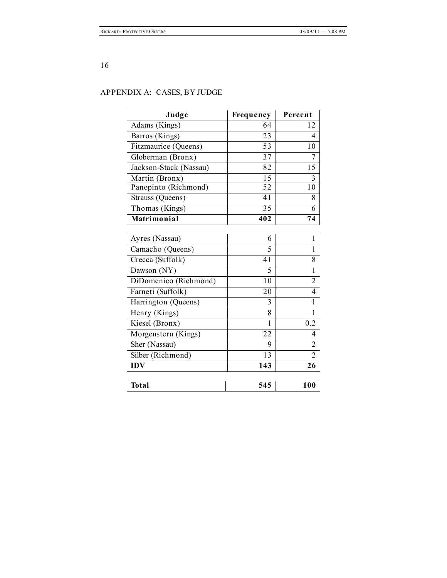## APPENDIX A: CASES, BY JUDGE

| Judge                  | Frequency        | Percent        |
|------------------------|------------------|----------------|
| Adams (Kings)          | 64               | 12             |
| Barros (Kings)         | 23               | 4              |
| Fitzmaurice (Queens)   | 53               | 10             |
| Globerman (Bronx)      | 37               | 7              |
| Jackson-Stack (Nassau) | 82               | 15             |
| Martin (Bronx)         | 15               | 3              |
| Panepinto (Richmond)   | 52               | 10             |
| Strauss (Queens)       | 41               | 8              |
| Thomas (Kings)         | 35               | 6              |
| Matrimonial            | 402              | 74             |
|                        |                  |                |
| Ayres (Nassau)         | 6                | 1              |
| Camacho (Queens)       | 5                | $\mathbf{1}$   |
| Crecca (Suffolk)       | 41               | 8              |
| Dawson (NY)            | 5                | $\mathbf{1}$   |
| DiDomenico (Richmond)  | 10               | $\overline{2}$ |
| Farneti (Suffolk)      | 20               | 4              |
| Harrington (Queens)    | 3                | 1              |
| Henry (Kings)          | 8                | 1              |
| Kiesel (Bronx)         | 1                | 0.2            |
| Morgenstern (Kings)    | 22               | 4              |
| Sher (Nassau)          | 9                | $\overline{2}$ |
| Silber (Richmond)      | 13               | $\overline{2}$ |
| <b>IDV</b>             | $\overline{143}$ | 26             |
|                        |                  |                |
| <b>Total</b>           | 545              | 100            |